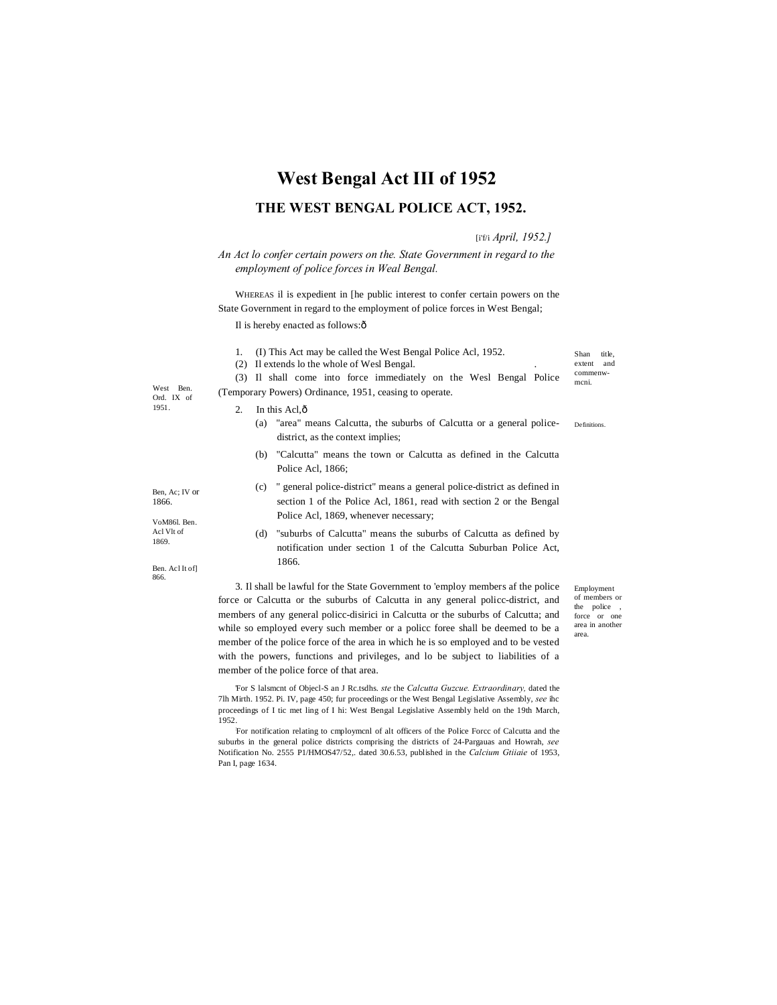## **West Bengal Act III of 1952**

## **THE WEST BENGAL POLICE ACT, 1952.**

[i'f/i *April, 1952.]*

*An Act lo confer certain powers on the. State Government in regard to the employment of police forces in Weal Bengal.*

WHEREAS il is expedient in [he public interest to confer certain powers on the State Government in regard to the employment of police forces in West Bengal;

(3) Il shall come into force immediately on the Wesl Bengal Police

Il is hereby enacted as follows: ô

- 1. (I) This Act may be called the West Bengal Police Acl, 1952.
- (2) Il extends lo the whole of Wesl Bengal. .

West Ben. (5) It shall come mo force immediately on the west bengal force ment.<br>
Nest Ben. (Temporary Powers) Ordinance, 1951, ceasing to operate. Ord. IX of

extent and commenw-<br>mcni.

Shan title

- 2. In this Acl $\hat{\alpha}$ 
	- Definitions. (a) "area" means Calcutta, the suburbs of Calcutta or a general policedistrict, as the context implies;
	- (b) "Calcutta" means the town or Calcutta as defined in the Calcutta Police Acl, 1866;
	- (c) " general police-district" means a general police-district as defined in section 1 of the Police Acl, 1861, read with section 2 or the Bengal Police Acl, 1869, whenever necessary;
	- (d) "suburbs of Calcutta" means the suburbs of Calcutta as defined by notification under section 1 of the Calcutta Suburban Police Act, 1866.

3. Il shall be lawful for the State Government to 'employ members af the police force or Calcutta or the suburbs of Calcutta in any general policc-district, and members of any general policc-disirici in Calcutta or the suburbs of Calcutta; and while so employed every such member or a policc foree shall be deemed to be a member of the police force of the area in which he is so employed and to be vested with the powers, functions and privileges, and lo be subject to liabilities of a member of the police force of that area.

Employment of members or the police force or one area in another area.

'For S lalsmcnt of Objecl-S an J Rc.tsdhs. *ste* the *Calcutta Guzcue. Extraordinary,* dated the 7lh Mirth. 1952. Pi. IV, page 450; fur proceedings or the West Bengal Legislative Assembly, *see* ihc proceedings of I tic met ling of I hi: West Bengal Legislative Assembly held on the 19th March, 1952.:

For notification relating to cmploymcnl of alt officers of the Police Forcc of Calcutta and the suburbs in the general police districts comprising the districts of 24-Pargauas and Howrah, *see* Notification No. 2555 P1/HMOS47/52,. dated 30.6.53, published in the *Calcium Gtiiaie* of 1953, Pan I, page 1634.

Ben, Ac; IV or 1866.

1951.

VoM86l. Ben. Acl Vlt of 1869.

Ben. Acl It of] 866.